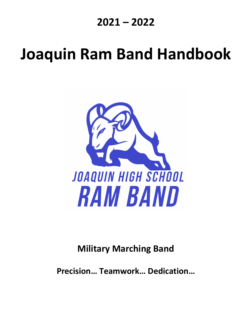## **2021 – 2022**

# **Joaquin Ram Band Handbook**



## **Military Marching Band**

**Precision… Teamwork… Dedication…**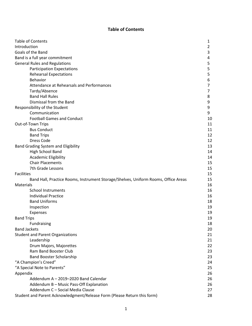#### **Table of Contents**

| <b>Table of Contents</b>                                                           | 1  |
|------------------------------------------------------------------------------------|----|
| Introduction                                                                       | 2  |
| Goals of the Band                                                                  | 3  |
| Band is a full year commitment                                                     | 4  |
| <b>General Rules and Regulations</b>                                               | 5  |
| <b>Participation Expectations</b>                                                  | 5  |
| <b>Rehearsal Expectations</b>                                                      | 5  |
| <b>Behavior</b>                                                                    | 6  |
| Attendance at Rehearsals and Performances                                          | 7  |
| Tardy/Absence                                                                      | 7  |
| <b>Band Hall Rules</b>                                                             | 8  |
| Dismissal from the Band                                                            | 9  |
| Responsibility of the Student                                                      | 9  |
| Communication                                                                      | 9  |
| <b>Football Games and Conduct</b>                                                  | 10 |
| Out-of-Town Trips                                                                  | 11 |
| <b>Bus Conduct</b>                                                                 | 11 |
| <b>Band Trips</b>                                                                  | 12 |
| Dress Code                                                                         | 12 |
| Band Grading System and Eligibility                                                | 13 |
| High School Band                                                                   | 14 |
| Academic Eligibility                                                               | 14 |
| <b>Chair Placements</b>                                                            | 15 |
| 7th Grade Lessons                                                                  | 15 |
| <b>Facilities</b>                                                                  | 15 |
| Band Hall, Practice Rooms, Instrument Storage/Shelves, Uniform Rooms, Office Areas | 15 |
| <b>Materials</b>                                                                   | 16 |
| <b>School Instruments</b>                                                          | 16 |
| <b>Individual Practice</b>                                                         | 16 |
| <b>Band Uniforms</b>                                                               | 18 |
| Inspection                                                                         | 19 |
| Expenses                                                                           | 19 |
| <b>Band Trips</b>                                                                  | 19 |
| Fundraising                                                                        | 18 |
| <b>Band Jackets</b>                                                                | 20 |
| <b>Student and Parent Organizations</b>                                            | 21 |
| Leadership                                                                         | 21 |
| Drum Majors, Majorettes                                                            | 22 |
| Ram Band Booster Club                                                              | 23 |
| <b>Band Booster Scholarship</b>                                                    | 23 |
| "A Champion's Creed"                                                               | 24 |
| "A Special Note to Parents"                                                        | 25 |
| Appendix                                                                           | 26 |
| Addendum A - 2019-2020 Band Calendar                                               | 26 |
| Addendum B - Music Pass-Off Explanation                                            | 26 |
| Addendum C - Social Media Clause                                                   | 27 |
| Student and Parent Acknowledgment/Release Form (Please Return this form)           | 28 |
|                                                                                    |    |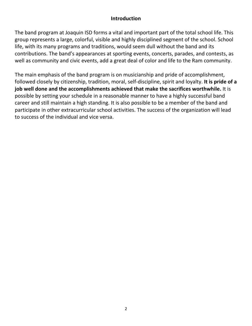#### **Introduction**

The band program at Joaquin ISD forms a vital and important part of the total school life. This group represents a large, colorful, visible and highly disciplined segment of the school. School life, with its many programs and traditions, would seem dull without the band and its contributions. The band's appearances at sporting events, concerts, parades, and contests, as well as community and civic events, add a great deal of color and life to the Ram community.

The main emphasis of the band program is on musicianship and pride of accomplishment, followed closely by citizenship, tradition, moral, self-discipline, spirit and loyalty. **It is pride of a job well done and the accomplishments achieved that make the sacrifices worthwhile.** It is possible by setting your schedule in a reasonable manner to have a highly successful band career and still maintain a high standing. It is also possible to be a member of the band and participate in other extracurricular school activities. The success of the organization will lead to success of the individual and vice versa.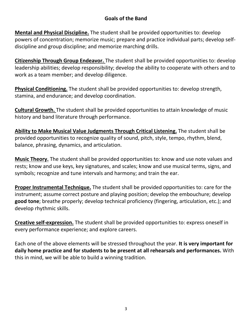#### **Goals of the Band**

**Mental and Physical Discipline.** The student shall be provided opportunities to: develop powers of concentration; memorize music; prepare and practice individual parts; develop selfdiscipline and group discipline; and memorize marching drills.

**Citizenship Through Group Endeavor.** The student shall be provided opportunities to: develop leadership abilities; develop responsibility; develop the ability to cooperate with others and to work as a team member; and develop diligence.

**Physical Conditioning.** The student shall be provided opportunities to: develop strength, stamina, and endurance; and develop coordination.

**Cultural Growth.** The student shall be provided opportunities to attain knowledge of music history and band literature through performance.

**Ability to Make Musical Value Judgments Through Critical Listening.** The student shall be provided opportunities to recognize quality of sound, pitch, style, tempo, rhythm, blend, balance, phrasing, dynamics, and articulation.

**Music Theory.** The student shall be provided opportunities to: know and use note values and rests; know and use keys, key signatures, and scales; know and use musical terms, signs, and symbols; recognize and tune intervals and harmony; and train the ear.

**Proper Instrumental Technique.** The student shall be provided opportunities to: care for the instrument; assume correct posture and playing position; develop the embouchure; develop **good tone**; breathe properly; develop technical proficiency (fingering, articulation, etc.); and develop rhythmic skills.

**Creative self-expression.** The student shall be provided opportunities to: express oneself in every performance experience; and explore careers.

Each one of the above elements will be stressed throughout the year. **It is very important for daily home practice and for students to be present at all rehearsals and performances.** With this in mind, we will be able to build a winning tradition.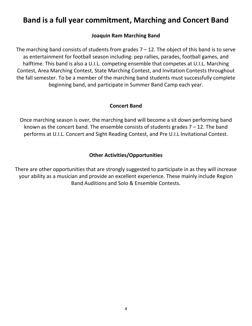### **Band is a full year commitment, Marching and Concert Band**

#### **Joaquin Ram Marching Band**

The marching band consists of students from grades  $7 - 12$ . The object of this band is to serve as entertainment for football season including: pep rallies, parades, football games, and halftime. This band is also a U.I.L. competing ensemble that competes at U.I.L. Marching Contest, Area Marching Contest, State Marching Contest, and Invitation Contests throughout the fall semester. To be a member of the marching band students must successfully complete beginning band, and participate in Summer Band Camp each year.

#### **Concert Band**

Once marching season is over, the marching band will become a sit down performing band known as the concert band. The ensemble consists of students grades  $7 - 12$ . The band performs at U.I.L. Concert and Sight Reading Contest, and Pre U.I.L Invitational Contest.

#### **Other Activities/Opportunities**

There are other opportunities that are strongly suggested to participate in as they will increase your ability as a musician and provide an excellent experience. These mainly include Region Band Auditions and Solo & Ensemble Contests.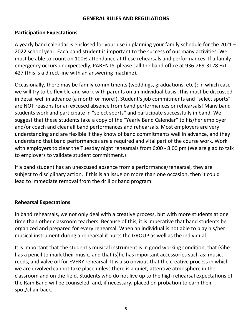#### **GENERAL RULES AND REGULATIONS**

#### **Participation Expectations**

A yearly band calendar is enclosed for your use in planning your family schedule for the 2021 – 2022 school year. Each band student is important to the success of our many activities. We must be able to count on 100% attendance at these rehearsals and performances. If a family emergency occurs unexpectedly, PARENTS, please call the band office at 936-269-3128 Ext. 427 (this is a direct line with an answering machine).

Occasionally, there may be family commitments (weddings, graduations, etc.); in which case we will try to be flexible and work with parents on an individual basis. This must be discussed in detail well in advance (a month or more!). Student's job commitments and "select sports" are NOT reasons for an excused absence from band performances or rehearsals! Many band students work and participate in "select sports" and participate successfully in band. We suggest that these students take a copy of the "Yearly Band Calendar" to his/her employer and/or coach and clear all band performances and rehearsals. Most employers are very understanding and are flexible if they know of band commitments well in advance, and they understand that band performances are a required and vital part of the course work. Work with employers to clear the Tuesday night rehearsals from 6:00 - 8:00 pm (We are glad to talk to employers to validate student commitment.)

If a band student has an unexcused absence from a performance/rehearsal, they are subject to disciplinary action. If this is an issue on more than one occasion, then it could lead to immediate removal from the drill or band program.

#### **Rehearsal Expectations**

In band rehearsals, we not only deal with a creative process, but with more students at one time than other classroom teachers. Because of this, it is imperative that band students be organized and prepared for every rehearsal. When an individual is not able to play his/her musical instrument during a rehearsal it hurts the GROUP as well as the individual.

It is important that the student's musical instrument is in good working condition, that (s)he has a pencil to mark their music, and that (s)he has important accessories such as: music, reeds, and valve oil for EVERY rehearsal. It is also obvious that the creative process in which we are involved cannot take place unless there is a quiet, attentive atmosphere in the classroom and on the field. Students who do not live up to the high rehearsal expectations of the Ram Band will be counseled, and, if necessary, placed on probation to earn their spot/chair back.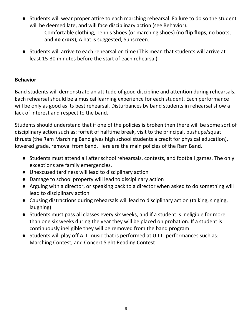● Students will wear proper attire to each marching rehearsal. Failure to do so the student will be deemed late, and will face disciplinary action (see Behavior).

Comfortable clothing, Tennis Shoes (or marching shoes) (no **flip flops**, no boots, and **no crocs**), A hat is suggested, Sunscreen.

● Students will arrive to each rehearsal on time (This mean that students will arrive at least 15-30 minutes before the start of each rehearsal)

#### **Behavior**

Band students will demonstrate an attitude of good discipline and attention during rehearsals. Each rehearsal should be a musical learning experience for each student. Each performance will be only as good as its best rehearsal. Disturbances by band students in rehearsal show a lack of interest and respect to the band.

Students should understand that if one of the policies is broken then there will be some sort of disciplinary action such as: forfeit of halftime break, visit to the principal, pushups/squat thrusts (the Ram Marching Band gives high school students a credit for physical education), lowered grade, removal from band. Here are the main policies of the Ram Band.

- Students must attend all after school rehearsals, contests, and football games. The only exceptions are family emergencies.
- Unexcused tardiness will lead to disciplinary action
- Damage to school property will lead to disciplinary action
- Arguing with a director, or speaking back to a director when asked to do something will lead to disciplinary action
- Causing distractions during rehearsals will lead to disciplinary action (talking, singing, laughing)
- Students must pass all classes every six weeks, and if a student is ineligible for more than one six weeks during the year they will be placed on probation. If a student is continuously ineligible they will be removed from the band program
- Students will play off ALL music that is performed at U.I.L. performances such as: Marching Contest, and Concert Sight Reading Contest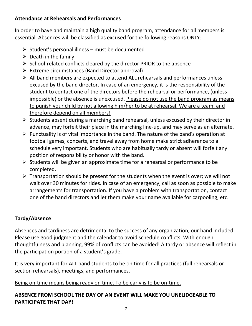#### **Attendance at Rehearsals and Performances**

In order to have and maintain a high quality band program, attendance for all members is essential. Absences will be classified as excused for the following reasons ONLY:

- $\triangleright$  Student's personal illness must be documented
- $\triangleright$  Death in the family
- $\triangleright$  School-related conflicts cleared by the director PRIOR to the absence
- $\triangleright$  Extreme circumstances (Band Director approval)
- $\triangleright$  All band members are expected to attend ALL rehearsals and performances unless excused by the band director. In case of an emergency, it is the responsibility of the student to contact one of the directors before the rehearsal or performance, (unless impossible) or the absence is unexcused. Please do not use the band program as means to punish your child by not allowing him/her to be at rehearsal. We are a team, and therefore depend on all members!
- $\triangleright$  Students absent during a marching band rehearsal, unless excused by their director in advance, may forfeit their place in the marching line-up, and may serve as an alternate.
- $\triangleright$  Punctuality is of vital importance in the band. The nature of the band's operation at football games, concerts, and travel away from home make strict adherence to a schedule very important. Students who are habitually tardy or absent will forfeit any position of responsibility or honor with the band.
- $\triangleright$  Students will be given an approximate time for a rehearsal or performance to be completed.
- $\triangleright$  Transportation should be present for the students when the event is over; we will not wait over 30 minutes for rides. In case of an emergency, call as soon as possible to make arrangements for transportation. If you have a problem with transportation, contact one of the band directors and let them make your name available for carpooling, etc.

#### **Tardy/Absence**

Absences and tardiness are detrimental to the success of any organization, our band included. Please use good judgment and the calendar to avoid schedule conflicts. With enough thoughtfulness and planning, 99% of conflicts can be avoided! A tardy or absence will reflect in the participation portion of a student's grade.

It is very important for ALL band students to be on time for all practices (full rehearsals or section rehearsals), meetings, and performances.

#### Being on-time means being ready on time. To be early is to be on-time.

#### **ABSENCE FROM SCHOOL THE DAY OF AN EVENT WILL MAKE YOU UNELIDGEABLE TO PARTICIPATE THAT DAY!**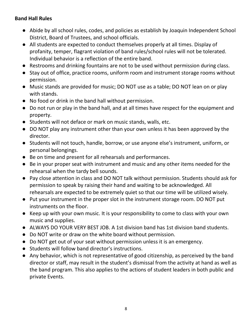#### **Band Hall Rules**

- Abide by all school rules, codes, and policies as establish by Joaquin Independent School District, Board of Trustees, and school officials.
- All students are expected to conduct themselves properly at all times. Display of profanity, temper, flagrant violation of band rules/school rules will not be tolerated. Individual behavior is a reflection of the entire band.
- Restrooms and drinking fountains are not to be used without permission during class.
- Stay out of office, practice rooms, uniform room and instrument storage rooms without permission.
- Music stands are provided for music; DO NOT use as a table; DO NOT lean on or play with stands.
- No food or drink in the band hall without permission.
- Do not run or play in the band hall, and at all times have respect for the equipment and property.
- Students will not deface or mark on music stands, walls, etc.
- DO NOT play any instrument other than your own unless it has been approved by the director.
- Students will not touch, handle, borrow, or use anyone else's instrument, uniform, or personal belongings.
- Be on time and present for all rehearsals and performances.
- Be in your proper seat with instrument and music and any other items needed for the rehearsal when the tardy bell sounds.
- Pay close attention in class and DO NOT talk without permission. Students should ask for permission to speak by raising their hand and waiting to be acknowledged. All rehearsals are expected to be extremely quiet so that our time will be utilized wisely.
- Put your instrument in the proper slot in the instrument storage room. DO NOT put instruments on the floor.
- Keep up with your own music. It is your responsibility to come to class with your own music and supplies.
- ALWAYS DO YOUR VERY BEST JOB. A 1st division band has 1st division band students.
- Do NOT write or draw on the white board without permission.
- Do NOT get out of your seat without permission unless it is an emergency.
- Students will follow band director's instructions.
- Any behavior, which is not representative of good citizenship, as perceived by the band director or staff, may result in the student's dismissal from the activity at hand as well as the band program. This also applies to the actions of student leaders in both public and private Events.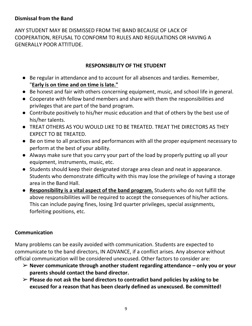#### **Dismissal from the Band**

ANY STUDENT MAY BE DISMISSED FROM THE BAND BECAUSE OF LACK OF COOPERATION, REFUSAL TO CONFORM TO RULES AND REGULATIONS OR HAVING A GENERALLY POOR ATTITUDE.

#### **RESPONSIBILITY OF THE STUDENT**

- Be regular in attendance and to account for all absences and tardies. Remember, "**Early is on time and on time is late."**
- Be honest and fair with others concerning equipment, music, and school life in general.
- Cooperate with fellow band members and share with them the responsibilities and privileges that are part of the band program.
- Contribute positively to his/her music education and that of others by the best use of his/her talents.
- TREAT OTHERS AS YOU WOULD LIKE TO BE TREATED. TREAT THE DIRECTORS AS THEY EXPECT TO BE TREATED.
- Be on time to all practices and performances with all the proper equipment necessary to perform at the best of your ability.
- Always make sure that you carry your part of the load by properly putting up all your equipment, instruments, music, etc.
- Students should keep their designated storage area clean and neat in appearance. Students who demonstrate difficulty with this may lose the privilege of having a storage area in the Band Hall.
- **Responsibility is a vital aspect of the band program.** Students who do not fulfill the above responsibilities will be required to accept the consequences of his/her actions. This can include paying fines, losing 3rd quarter privileges, special assignments, forfeiting positions, etc.

#### **Communication**

Many problems can be easily avoided with communication. Students are expected to communicate to the band directors, IN ADVANCE, if a conflict arises. Any absence without official communication will be considered unexcused. Other factors to consider are:

- ➢ **Never communicate through another student regarding attendance – only you or your parents should contact the band director.**
- ➢ **Please do not ask the band directors to contradict band policies by asking to be excused for a reason that has been clearly defined as unexcused. Be committed!**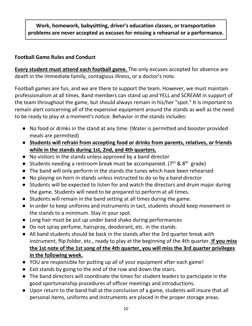#### **Work, homework, babysitting, driver's education classes, or transportation problems are never accepted as excuses for missing a rehearsal or a performance.**

#### **Football Game Rules and Conduct**

**Every student must attend each football game.** The only excuses accepted for absence are death in the immediate family, contagious illness, or a doctor's note.

Football games are fun, and we are there to support the team. However, we must maintain professionalism at all times. Band members can stand up and YELL and SCREAM in support of the team throughout the game, but should always remain in his/her "spot." It is important to remain alert concerning all of the expensive equipment around the stands as well as the need to be ready to play at a moment's notice. Behavior in the stands includes:

- No food or drinks in the stand at any time. (Water is permitted and booster provided meals are permitted)
- **Students will refrain from accepting food or drinks from parents, relatives, or friends while in the stands during 1st, 2nd, and 4th quarters.**
- No visitors in the stands unless approved by a band director
- Students needing a restroom break must be accompanied. ( $7<sup>th</sup>$  &  $8<sup>th</sup>$  grade)
- The band will only perform in the stands the tunes which have been rehearsed
- No playing on horn in stands unless instructed to do so by a band director
- Students will be expected to listen for and watch the directors and drum major during the game. Students will need to be prepared to perform at all times.
- Students will remain in the band setting at all times during the game.
- In order to keep uniforms and instruments in tact, students should keep movement in the stands to a minimum. Stay in your spot.
- Long hair must be put up under band shako during performances
- Do not spray perfume, hairspray, deodorant, etc. in the stands.
- All band students should be back in the stands after the 3rd quarter break with instrument, flip folder, etc., ready to play at the beginning of the 4th quarter. **If you miss the 1st note of the 1st song of the 4th quarter, you will miss the 3rd quarter privileges in the following week.**
- YOU are responsible for putting up all of your equipment after each game!
- Exit stands by going to the end of the row and down the stairs.
- The band directors will coordinate the times for student leaders to participate in the good sportsmanship procedures of officer meetings and introductions.
- Upon return to the band hall at the conclusion of a game, students will insure that all personal items, uniforms and instruments are placed in the proper storage areas.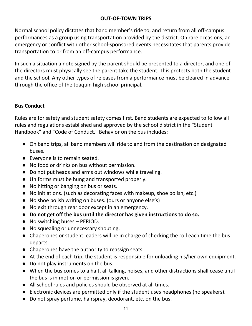#### **OUT-OF-TOWN TRIPS**

Normal school policy dictates that band member's ride to, and return from all off-campus performances as a group using transportation provided by the district. On rare occasions, an emergency or conflict with other school-sponsored events necessitates that parents provide transportation to or from an off-campus performance.

In such a situation a note signed by the parent should be presented to a director, and one of the directors must physically see the parent take the student. This protects both the student and the school. Any other types of releases from a performance must be cleared in advance through the office of the Joaquin high school principal.

#### **Bus Conduct**

Rules are for safety and student safety comes first. Band students are expected to follow all rules and regulations established and approved by the school district in the "Student Handbook" and "Code of Conduct." Behavior on the bus includes:

- On band trips, all band members will ride to and from the destination on designated buses.
- Everyone is to remain seated.
- No food or drinks on bus without permission.
- Do not put heads and arms out windows while traveling.
- Uniforms must be hung and transported properly.
- No hitting or banging on bus or seats.
- No initiations. (such as decorating faces with makeup, shoe polish, etc.)
- No shoe polish writing on buses. (ours or anyone else's)
- No exit through rear door except in an emergency.
- **Do not get off the bus until the director has given instructions to do so.**
- No switching buses PERIOD.
- No squealing or unnecessary shouting.
- Chaperones or student leaders will be in charge of checking the roll each time the bus departs.
- Chaperones have the authority to reassign seats.
- At the end of each trip, the student is responsible for unloading his/her own equipment.
- Do not play instruments on the bus.
- When the bus comes to a halt, all talking, noises, and other distractions shall cease until the bus is in motion or permission is given.
- All school rules and policies should be observed at all times.
- Electronic devices are permitted only if the student uses headphones (no speakers).
- Do not spray perfume, hairspray, deodorant, etc. on the bus.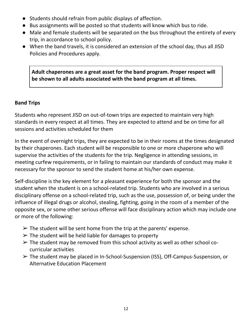- Students should refrain from public displays of affection.
- Bus assignments will be posted so that students will know which bus to ride.
- Male and female students will be separated on the bus throughout the entirety of every trip, in accordance to school policy.
- When the band travels, it is considered an extension of the school day, thus all JISD Policies and Procedures apply.

**Adult chaperones are a great asset for the band program. Proper respect will be shown to all adults associated with the band program at all times.**

#### **Band Trips**

Students who represent JISD on out-of-town trips are expected to maintain very high standards in every respect at all times. They are expected to attend and be on time for all sessions and activities scheduled for them

In the event of overnight trips, they are expected to be in their rooms at the times designated by their chaperones. Each student will be responsible to one or more chaperone who will supervise the activities of the students for the trip. Negligence in attending sessions, in meeting curfew requirements, or in failing to maintain our standards of conduct may make it necessary for the sponsor to send the student home at his/her own expense.

Self-discipline is the key element for a pleasant experience for both the sponsor and the student when the student is on a school-related trip. Students who are involved in a serious disciplinary offense on a school-related trip, such as the use, possession of, or being under the influence of illegal drugs or alcohol, stealing, fighting, going in the room of a member of the opposite sex, or some other serious offense will face disciplinary action which may include one or more of the following:

- $\triangleright$  The student will be sent home from the trip at the parents' expense.
- $\triangleright$  The student will be held liable for damages to property
- $\triangleright$  The student may be removed from this school activity as well as other school cocurricular activities
- ➢ The student may be placed in In-School-Suspension (ISS), Off-Campus-Suspension, or Alternative Education Placement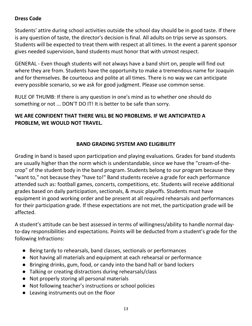#### **Dress Code**

Students' attire during school activities outside the school day should be in good taste. If there is any question of taste, the director's decision is final. All adults on trips serve as sponsors. Students will be expected to treat them with respect at all times. In the event a parent sponsor gives needed supervision, band students must honor that with utmost respect.

GENERAL - Even though students will not always have a band shirt on, people will find out where they are from. Students have the opportunity to make a tremendous name for Joaquin and for themselves. Be courteous and polite at all times. There is no way we can anticipate every possible scenario, so we ask for good judgment. Please use common sense.

RULE OF THUMB: If there is any question in one's mind as to whether one should do something or not ... DON'T DO IT! It is better to be safe than sorry.

#### **WE ARE CONFIDENT THAT THERE WILL BE NO PROBLEMS. IF WE ANTICIPATED A PROBLEM, WE WOULD NOT TRAVEL.**

#### **BAND GRADING SYSTEM AND ELIGIBILITY**

Grading in band is based upon participation and playing evaluations. Grades for band students are usually higher than the norm which is understandable, since we have the "cream-of-thecrop" of the student body in the band program. Students belong to our program because they "want to," not because they "have to!" Band students receive a grade for each performance attended such as: football games, concerts, competitions, etc. Students will receive additional grades based on daily participation, sectionals, & music playoffs. Students must have equipment in good working order and be present at all required rehearsals and performances for their participation grade. If these expectations are not met, the participation grade will be affected.

A student's attitude can be best assessed in terms of willingness/ability to handle normal dayto-day responsibilities and expectations. Points will be deducted from a student's grade for the following Infractions:

- Being tardy to rehearsals, band classes, sectionals or performances
- Not having all materials and equipment at each rehearsal or performance
- Bringing drinks, gum, food, or candy into the band hall or band lockers
- Talking or creating distractions during rehearsals/class
- Not properly storing all personal materials
- Not following teacher's instructions or school policies
- Leaving instruments out on the floor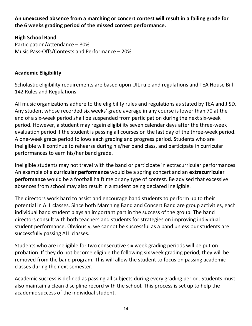**An unexcused absence from a marching or concert contest will result in a failing grade for the 6 weeks grading period of the missed contest performance.**

**High School Band** Participation/Attendance – 80% Music Pass-Offs/Contests and Performance – 20%

#### **Academic Eligibility**

Scholastic eligibility requirements are based upon UIL rule and regulations and TEA House Bill 142 Rules and Regulations.

All music organizations adhere to the eligibility rules and regulations as stated by TEA and JISD. Any student whose recorded six weeks' grade average in any course is lower than 70 at the end of a six-week period shall be suspended from participation during the next six-week period. However, a student may regain eligibility seven calendar days after the three-week evaluation period if the student is passing all courses on the last day of the three-week period. A one-week grace period follows each grading and progress period. Students who are Ineligible will continue to rehearse during his/her band class, and participate in curricular performances to earn his/her band grade.

Ineligible students may not travel with the band or participate in extracurricular performances. An example of a **curricular performance** would be a spring concert and an **extracurricular performance** would be a football halftime or any type of contest. Be advised that excessive absences from school may also result in a student being declared ineligible.

The directors work hard to assist and encourage band students to perform up to their potential in ALL classes. Since both Marching Band and Concert Band are group activities, each individual band student plays an important part in the success of the group. The band directors consult with both teachers and students for strategies on improving individual student performance. Obviously, we cannot be successful as a band unless our students are successfully passing ALL classes.

Students who are ineligible for two consecutive six week grading periods will be put on probation. If they do not become eligible the following six week grading period, they will be removed from the band program. This will allow the student to focus on passing academic classes during the next semester.

Academic success is defined as passing all subjects during every grading period. Students must also maintain a clean discipline record with the school. This process is set up to help the academic success of the individual student.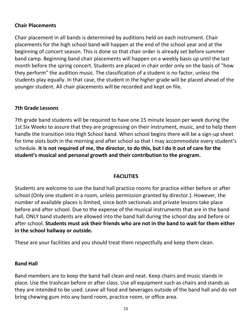#### **Chair Placements**

Chair placement in all bands is determined by auditions held on each instrument. Chair placements for the high school band will happen at the end of the school year and at the beginning of concert season. This is done so that chair order is already set before summer band camp. Beginning band chair placements will happen on a weekly basis up until the last month before the spring concert. Students are placed in chair order only on the basis of "how they perform" the audition music. The classification of a student is no factor, unless the students play equally. In that case, the student in the higher grade will be placed ahead of the younger student. All chair placements will be recorded and kept on file.

#### **7th Grade Lessons**

7th grade band students will be required to have one 15 minute lesson per week during the 1st Six Weeks to assure that they are progressing on their instrument, music, and to help them handle the transition into High School band. When school begins there will be a sign-up sheet for time slots both in the morning and after school so that I may accommodate every student's schedule. **It is not required of me, the director, to do this, but I do it out of care for the student's musical and personal growth and their contribution to the program.**

#### **FACILITIES**

Students are welcome to use the band hall practice rooms for practice either before or after school (Only one student in a room, unless permission granted by director.). However, the number of available places is limited, since both sectionals and private lessons take place before and after school. Due to the expense of the musical instruments that are in the band hall, ONLY band students are allowed into the band hall during the school day and before or after school. **Students must ask their friends who are not in the band to wait for them either in the school hallway or outside.**

These are your facilities and you should treat them respectfully and keep them clean.

#### **Band Hall**

Band members are to keep the band hall clean and neat. Keep chairs and music stands in place. Use the trashcan before or after class. Use all equipment such as chairs and stands as they are intended to be used. Leave all food and beverages outside of the band hall and do not bring chewing gum into any band room, practice room, or office area.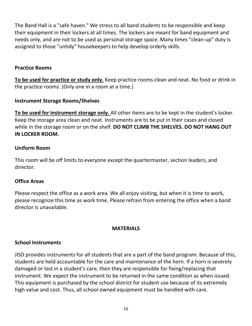The Band Hall is a "safe haven." We stress to all band students to be responsible and keep their equipment in their lockers at all times. The lockers are meant for band equipment and needs only, and are not to be used as personal storage space. Many times "clean-up" duty is assigned to those "untidy" housekeepers to help develop orderly skills.

#### **Practice Rooms**

**To be used for practice or study only.** Keep practice rooms clean and neat. No food or drink in the practice rooms. (Only one in a room at a time.)

#### **Instrument Storage Rooms/Shelves**

**To be used for instrument storage only.** All other items are to be kept in the student's locker. Keep the storage area clean and neat. Instruments are to be put in their cases and closed while in the storage room or on the shelf. **DO NOT CLIMB THE SHELVES. DO NOT HANG OUT IN LOCKER ROOM.**

#### **Uniform Room**

This room will be off limits to everyone except the quartermaster, section leaders, and director.

#### **Office Areas**

Please respect the office as a work area. We all enjoy visiting, but when it is time to work, please recognize this time as work time. Please refrain from entering the office when a band director is unavailable.

#### **MATERIALS**

#### **School Instruments**

JISD provides instruments for all students that are a part of the band program. Because of this, students are held accountable for the care and maintenance of the horn. If a horn is severely damaged or lost in a student's care, then they are responsible for fixing/replacing that instrument. We expect the instrument to be returned in the same condition as when issued. This equipment is purchased by the school district for student use because of its extremely high value and cost. Thus, all school owned equipment must be handled with care.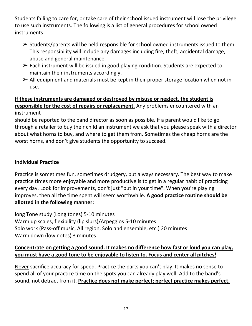Students failing to care for, or take care of their school issued instrument will lose the privilege to use such instruments. The following is a list of general procedures for school owned instruments:

- ➢ Students/parents will be held responsible for school owned instruments issued to them. This responsibility will include any damages including fire, theft, accidental damage, abuse and general maintenance.
- $\triangleright$  Each instrument will be issued in good playing condition. Students are expected to maintain their instruments accordingly.
- $\triangleright$  All equipment and materials must be kept in their proper storage location when not in use.

#### **If these instruments are damaged or destroyed by misuse or neglect, the student is responsible for the cost of repairs or replacement.** Any problems encountered with an instrument

should be reported to the band director as soon as possible. If a parent would like to go through a retailer to buy their child an instrument we ask that you please speak with a director about what horns to buy, and where to get them from. Sometimes the cheap horns are the worst horns, and don't give students the opportunity to succeed.

#### **Individual Practice**

Practice is sometimes fun, sometimes drudgery, but always necessary. The best way to make practice times more enjoyable and more productive is to get in a regular habit of practicing every day. Look for improvements, don't just "put in your time". When you're playing improves, then all the time spent will seem worthwhile. **A good practice routine should be allotted in the following manner:**

long Tone study (Long tones) 5-10 minutes Warm up scales, flexibility (lip slurs)/Arpeggios 5-10 minutes Solo work (Pass-off music, All region, Solo and ensemble, etc.) 20 minutes Warm down (low notes) 3 minutes

#### **Concentrate on getting a good sound. It makes no difference how fast or loud you can play, you must have a good tone to be enjoyable to listen to. Focus and center all pitches!**

Never sacrifice accuracy for speed. Practice the parts you can't play. It makes no sense to spend all of your practice time on the spots you can already play well. Add to the band's sound, not detract from it. **Practice does not make perfect; perfect practice makes perfect.**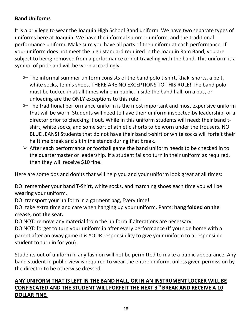#### **Band Uniforms**

It is a privilege to wear the Joaquin High School Band uniform. We have two separate types of uniforms here at Joaquin. We have the informal summer uniform, and the traditional performance uniform. Make sure you have all parts of the uniform at each performance. If your uniform does not meet the high standard required in the Joaquin Ram Band, you are subject to being removed from a performance or not traveling with the band. This uniform is a symbol of pride and will be worn accordingly.

- $\triangleright$  The informal summer uniform consists of the band polo t-shirt, khaki shorts, a belt, white socks, tennis shoes. THERE ARE NO EXCEPTIONS TO THIS RULE! The band polo must be tucked in at all times while in public. Inside the band hall, on a bus, or unloading are the ONLY exceptions to this rule.
- $\triangleright$  The traditional performance uniform is the most important and most expensive uniform that will be worn. Students will need to have their uniform inspected by leadership, or a director prior to checking it out. While in this uniform students will need: their band tshirt, white socks, and some sort of athletic shorts to be worn under the trousers. NO BLUE JEANS! Students that do not have their band t-shirt or white socks will forfeit their halftime break and sit in the stands during that break.
- $\triangleright$  After each performance or football game the band uniform needs to be checked in to the quartermaster or leadership. If a student fails to turn in their uniform as required, then they will receive \$10 fine.

Here are some dos and don'ts that will help you and your uniform look great at all times:

DO: remember your band T-Shirt, white socks, and marching shoes each time you will be wearing your uniform.

DO: transport your uniform in a garment bag, Every time!

DO: take extra time and care when hanging up your uniform. Pants: **hang folded on the crease, not the seat.**

DO NOT: remove any material from the uniform if alterations are necessary.

DO NOT: forget to turn your uniform in after every performance (If you ride home with a parent after an away game it is YOUR responsibility to give your uniform to a responsible student to turn in for you).

Students out of uniform in any fashion will not be permitted to make a public appearance. Any band student in public view is required to wear the entire uniform, unless given permission by the director to be otherwise dressed.

#### **ANY UNIFORM THAT IS LEFT IN THE BAND HALL, OR IN AN INSTRUMENT LOCKER WILL BE CONFISCATED AND THE STUDENT WILL FORFEIT THE NEXT 3rd BREAK AND RECEIVE A 10 DOLLAR FINE.**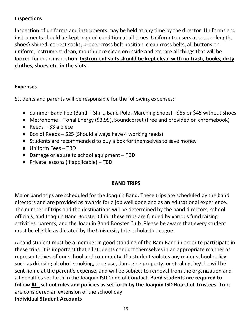#### **Inspections**

Inspection of uniforms and instruments may be held at any time by the director. Uniforms and instruments should be kept in good condition at all times. Uniform trousers at proper length, shoes\ shined, correct socks, proper cross belt position, clean cross belts, all buttons on uniform, instrument clean, mouthpiece clean on inside and etc. are all things that will be looked for in an inspection. **Instrument slots should be kept clean with no trash, books, dirty clothes, shoes etc. in the slots.**

#### **Expenses**

Students and parents will be responsible for the following expenses:

- Summer Band Fee (Band T-Shirt, Band Polo, Marching Shoes) \$85 or \$45 without shoes
- Metronome Tonal Energy (\$3.99), Soundcorset (Free and provided on chromebook)
- Reeds  $-$  \$3 a piece
- $\bullet$  Box of Reeds \$25 (Should always have 4 working reeds)
- Students are recommended to buy a box for themselves to save money
- Uniform Fees TBD
- Damage or abuse to school equipment TBD
- Private lessons (if applicable) TBD

#### **BAND TRIPS**

Major band trips are scheduled for the Joaquin Band. These trips are scheduled by the band directors and are provided as awards for a job well done and as an educational experience. The number of trips and the destinations will be determined by the band directors, school officials, and Joaquin Band Booster Club. These trips are funded by various fund raising activities, parents, and the Joaquin Band Booster Club. Please be aware that every student must be eligible as dictated by the University Interscholastic League.

A band student must be a member in good standing of the Ram Band in order to participate in these trips. It is important that all students conduct themselves in an appropriate manner as representatives of our school and community. If a student violates any major school policy, such as drinking alcohol, smoking, drug use, damaging property, or stealing, he/she will be sent home at the parent's expense, and will be subject to removal from the organization and all penalties set forth in the Joaquin ISD Code of Conduct. **Band students are required to follow ALL school rules and policies as set forth by the Joaquin ISD Board of Trustees.** Trips are considered an extension of the school day. **Individual Student Accounts**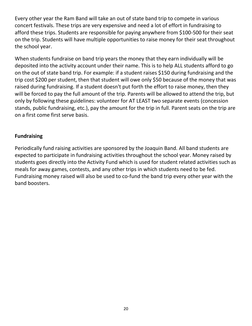Every other year the Ram Band will take an out of state band trip to compete in various concert festivals. These trips are very expensive and need a lot of effort in fundraising to afford these trips. Students are responsible for paying anywhere from \$100-500 for their seat on the trip. Students will have multiple opportunities to raise money for their seat throughout the school year.

When students fundraise on band trip years the money that they earn individually will be deposited into the activity account under their name. This is to help ALL students afford to go on the out of state band trip. For example: if a student raises \$150 during fundraising and the trip cost \$200 per student, then that student will owe only \$50 because of the money that was raised during fundraising. If a student doesn't put forth the effort to raise money, then they will be forced to pay the full amount of the trip. Parents will be allowed to attend the trip, but only by following these guidelines: volunteer for AT LEAST two separate events (concession stands, public fundraising, etc.), pay the amount for the trip in full. Parent seats on the trip are on a first come first serve basis.

#### **Fundraising**

Periodically fund raising activities are sponsored by the Joaquin Band. All band students are expected to participate in fundraising activities throughout the school year. Money raised by students goes directly into the Activity Fund which is used for student related activities such as meals for away games, contests, and any other trips in which students need to be fed. Fundraising money raised will also be used to co-fund the band trip every other year with the band boosters.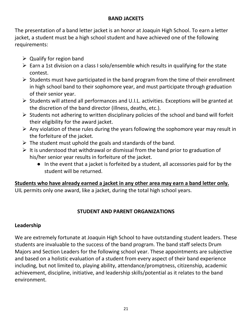#### **BAND JACKETS**

The presentation of a band letter jacket is an honor at Joaquin High School. To earn a letter jacket, a student must be a high school student and have achieved one of the following requirements:

- $\triangleright$  Qualify for region band
- $\triangleright$  Earn a 1st division on a class I solo/ensemble which results in qualifying for the state contest.
- $\triangleright$  Students must have participated in the band program from the time of their enrollment in high school band to their sophomore year, and must participate through graduation of their senior year.
- $\triangleright$  Students will attend all performances and U.I.L. activities. Exceptions will be granted at the discretion of the band director (illness, deaths, etc.).
- $\triangleright$  Students not adhering to written disciplinary policies of the school and band will forfeit their eligibility for the award jacket.
- $\triangleright$  Any violation of these rules during the years following the sophomore year may result in the forfeiture of the jacket.
- $\triangleright$  The student must uphold the goals and standards of the band.
- $\triangleright$  It is understood that withdrawal or dismissal from the band prior to graduation of his/her senior year results in forfeiture of the jacket.
	- In the event that a jacket is forfeited by a student, all accessories paid for by the student will be returned.

**Students who have already earned a jacket in any other area may earn a band letter only.**  UIL permits only one award, like a jacket, during the total high school years.

#### **STUDENT AND PARENT ORGANIZATIONS**

#### **Leadership**

We are extremely fortunate at Joaquin High School to have outstanding student leaders. These students are invaluable to the success of the band program. The band staff selects Drum Majors and Section Leaders for the following school year. These appointments are subjective and based on a holistic evaluation of a student from every aspect of their band experience including, but not limited to, playing ability, attendance/promptness, citizenship, academic achievement, discipline, initiative, and leadership skills/potential as it relates to the band environment.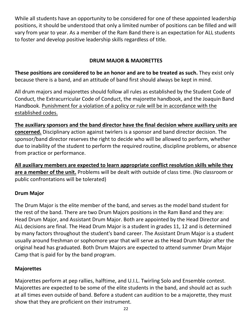While all students have an opportunity to be considered for one of these appointed leadership positions, it should be understood that only a limited number of positions can be filled and will vary from year to year. As a member of the Ram Band there is an expectation for ALL students to foster and develop positive leadership skills regardless of title.

#### **DRUM MAJOR & MAJORETTES**

**These positions are considered to be an honor and are to be treated as such.** They exist only because there is a band, and an attitude of band first should always be kept in mind.

All drum majors and majorettes should follow all rules as established by the Student Code of Conduct, the Extracurricular Code of Conduct, the majorette handbook, and the Joaquin Band Handbook. Punishment for a violation of a policy or rule will be in accordance with the established codes.

**The auxiliary sponsors and the band director have the final decision where auxiliary units are concerned.** Disciplinary action against twirlers is a sponsor and band director decision. The sponsor/band director reserves the right to decide who will be allowed to perform, whether due to inability of the student to perform the required routine, discipline problems, or absence from practice or performance.

**All auxiliary members are expected to learn appropriate conflict resolution skills while they are a member of the unit.** Problems will be dealt with outside of class time. (No classroom or public confrontations will be tolerated)

#### **Drum Major**

The Drum Major is the elite member of the band, and serves as the model band student for the rest of the band. There are two Drum Majors positions in the Ram Band and they are: Head Drum Major, and Assistant Drum Major. Both are appointed by the Head Director and ALL decisions are final. The Head Drum Major is a student in grades 11, 12 and is determined by many factors throughout the student's band career. The Assistant Drum Major is a student usually around freshman or sophomore year that will serve as the Head Drum Major after the original head has graduated. Both Drum Majors are expected to attend summer Drum Major Camp that is paid for by the band program.

#### **Majorettes**

Majorettes perform at pep rallies, halftime, and U.I.L. Twirling Solo and Ensemble contest. Majorettes are expected to be some of the elite students in the band, and should act as such at all times even outside of band. Before a student can audition to be a majorette, they must show that they are proficient on their instrument.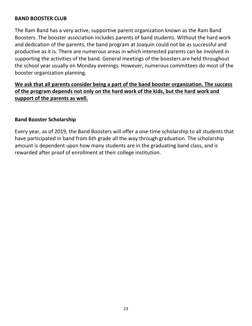#### **BAND BOOSTER CLUB**

The Ram Band has a very active, supportive parent organization known as the Ram Band Boosters. The booster association includes parents of band students. Without the hard work and dedication of the parents, the band program at Joaquin could not be as successful and productive as it is. There are numerous areas in which interested parents can be involved in supporting the activities of the band. General meetings of the boosters are held throughout the school year usually on Monday evenings. However, numerous committees do most of the booster organization planning.

#### **We ask that all parents consider being a part of the band booster organization. The success of the program depends not only on the hard work of the kids, but the hard work and support of the parents as well.**

#### **Band Booster Scholarship**

Every year, as of 2019, the Band Boosters will offer a one-time scholarship to all students that have participated in band from 6th grade all the way through graduation. The scholarship amount is dependent upon how many students are in the graduating band class, and is rewarded after proof of enrollment at their college institution.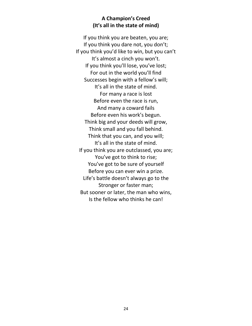#### **A Champion's Creed (It's all in the state of mind)**

If you think you are beaten, you are; If you think you dare not, you don't; If you think you'd like to win, but you can't It's almost a cinch you won't. If you think you'll lose, you've lost; For out in the world you'll find Successes begin with a fellow's will; It's all in the state of mind. For many a race is lost Before even the race is run, And many a coward fails Before even his work's begun. Think big and your deeds will grow, Think small and you fall behind. Think that you can, and you will; It's all in the state of mind. If you think you are outclassed, you are; You've got to think to rise; You've got to be sure of yourself Before you can ever win a prize. Life's battle doesn't always go to the Stronger or faster man; But sooner or later, the man who wins, Is the fellow who thinks he can!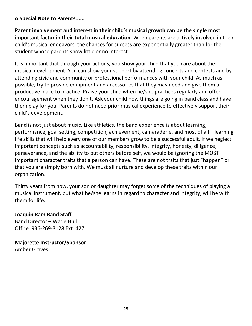#### **A Special Note to Parents......**

**Parent involvement and interest in their child's musical growth can be the single most important factor in their total musical education**. When parents are actively involved in their child's musical endeavors, the chances for success are exponentially greater than for the student whose parents show little or no interest.

It is important that through your actions, you show your child that you care about their musical development. You can show your support by attending concerts and contests and by attending civic and community or professional performances with your child. As much as possible, try to provide equipment and accessories that they may need and give them a productive place to practice. Praise your child when he/she practices regularly and offer encouragement when they don't. Ask your child how things are going in band class and have them play for you. Parents do not need prior musical experience to effectively support their child's development.

Band is not just about music. Like athletics, the band experience is about learning, performance, goal setting, competition, achievement, camaraderie, and most of all – learning life skills that will help every one of our members grow to be a successful adult. If we neglect important concepts such as accountability, responsibility, integrity, honesty, diligence, perseverance, and the ability to put others before self, we would be ignoring the MOST important character traits that a person can have. These are not traits that just "happen" or that you are simply born with. We must all nurture and develop these traits within our organization.

Thirty years from now, your son or daughter may forget some of the techniques of playing a musical instrument, but what he/she learns in regard to character and integrity, will be with them for life.

#### **Joaquin Ram Band Staff**

Band Director – Wade Hull Office: 936-269-3128 Ext. 427

**Majorette Instructor/Sponsor** Amber Graves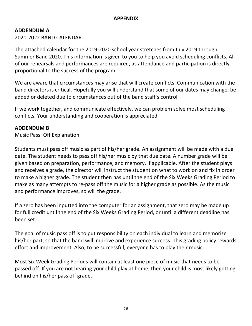#### **APPENDIX**

#### **ADDENDUM A**

2021-2022 BAND CALENDAR

The attached calendar for the 2019-2020 school year stretches from July 2019 through Summer Band 2020. This information is given to you to help you avoid scheduling conflicts. All of our rehearsals and performances are required, as attendance and participation is directly proportional to the success of the program.

We are aware that circumstances may arise that will create conflicts. Communication with the band directors is critical. Hopefully you will understand that some of our dates may change, be added or deleted due to circumstances out of the band staff's control.

If we work together, and communicate effectively, we can problem solve most scheduling conflicts. Your understanding and cooperation is appreciated.

#### **ADDENDUM B**

Music Pass–Off Explanation

Students must pass off music as part of his/her grade. An assignment will be made with a due date. The student needs to pass off his/her music by that due date. A number grade will be given based on preparation, performance, and memory, if applicable. After the student plays and receives a grade, the director will instruct the student on what to work on and fix in order to make a higher grade. The student then has until the end of the Six Weeks Grading Period to make as many attempts to re-pass off the music for a higher grade as possible. As the music and performance improves, so will the grade.

If a zero has been inputted into the computer for an assignment, that zero may be made up for full credit until the end of the Six Weeks Grading Period, or until a different deadline has been set.

The goal of music pass off is to put responsibility on each individual to learn and memorize his/her part, so that the band will improve and experience success. This grading policy rewards effort and improvement. Also, to be successful, everyone has to play their music.

Most Six Week Grading Periods will contain at least one piece of music that needs to be passed off. If you are not hearing your child play at home, then your child is most likely getting behind on his/her pass off grade.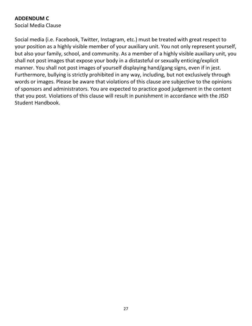#### **ADDENDUM C**

Social Media Clause

Social media (i.e. Facebook, Twitter, Instagram, etc.) must be treated with great respect to your position as a highly visible member of your auxiliary unit. You not only represent yourself, but also your family, school, and community. As a member of a highly visible auxiliary unit, you shall not post images that expose your body in a distasteful or sexually enticing/explicit manner. You shall not post images of yourself displaying hand/gang signs, even if in jest. Furthermore, bullying is strictly prohibited in any way, including, but not exclusively through words or images. Please be aware that violations of this clause are subjective to the opinions of sponsors and administrators. You are expected to practice good judgement in the content that you post. Violations of this clause will result in punishment in accordance with the JISD Student Handbook.